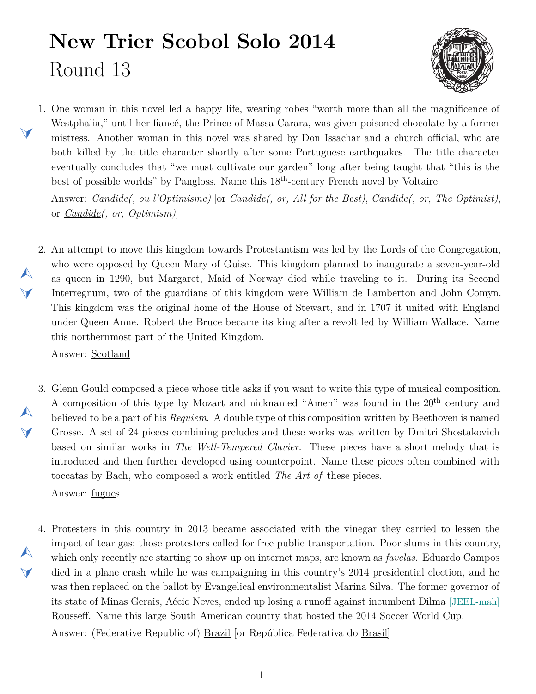## **New Trier Scobol Solo 2014** Round 13



<span id="page-0-1"></span>1. One woman in this novel led a happy life, wearing robes "worth more than all the magnificence of Westphalia," until her fiancé, the Prince of Massa Carara, was given poisoned chocolate by a former mistress. Another woman in this novel was shared by Don Issachar and a church official, who are both killed by the title character shortly after some Portuguese earthquakes. The title character eventually concludes that "we must cultivate our garden" long after being taught that "this is the best of possible worlds" by Pangloss. Name this 18th-century French novel by Voltaire.

Answer: *Candide(, ou l'Optimisme)* [or *Candide(, or, All for the Best)*, *Candide(, or, The Optimist)*, or *Candide(, or, Optimism)*]

<span id="page-0-0"></span>2. An attempt to move this kingdom towards Protestantism was led by the Lords of the Congregation, who were opposed by Queen Mary of Guise. This kingdom planned to inaugurate a seven-year-old as queen in 1290, but Margaret, Maid of Norway died while traveling to it. During its Second Interregnum, two of the guardians of this kingdom were William de Lamberton and John Comyn. This kingdom was the original home of the House of Stewart, and in 1707 it united with England under Queen Anne. Robert the Bruce became its king after a revolt led by William Wallace. Name this northernmost part of the United Kingdom.

Answer: Scotland

 $\blacktriangleleft$ 

 $\blacktriangle$ 

 $\blacktriangledown$ 

 $\blacktriangle$ 

 $\blacktriangledown$ 

 $\blacktriangleleft$ 

- <span id="page-0-2"></span>3. Glenn Gould composed a piece whose title asks if you want to write this type of musical composition. A composition of this type by Mozart and nicknamed "Amen" was found in the 20th century and believed to be a part of his *Requiem*. A double type of this composition written by Beethoven is named Grosse. A set of 24 pieces combining preludes and these works was written by Dmitri Shostakovich based on similar works in *The Well-Tempered Clavier*. These pieces have a short melody that is introduced and then further developed using counterpoint. Name these pieces often combined with toccatas by Bach, who composed a work entitled *The Art of* these pieces. Answer: fugues
- <span id="page-0-3"></span>4. Protesters in this country in 2013 became associated with the vinegar they carried to lessen the  $\blacktriangle$ impact of tear gas; those protesters called for free public transportation. Poor slums in this country, which only recently are starting to show up on internet maps, are known as *favelas*. Eduardo Campos died in a plane crash while he was campaigning in this country's 2014 presidential election, and he was then replaced on the ballot by Evangelical environmentalist Marina Silva. The former governor of its state of Minas Gerais, Aécio Neves, ended up losing a runoff against incumbent Dilma [JEEL-mah] Rousseff. Name this large South American country that hosted the 2014 Soccer World Cup. Answer: (Federative Republic of) Brazil [or República Federativa do Brasil]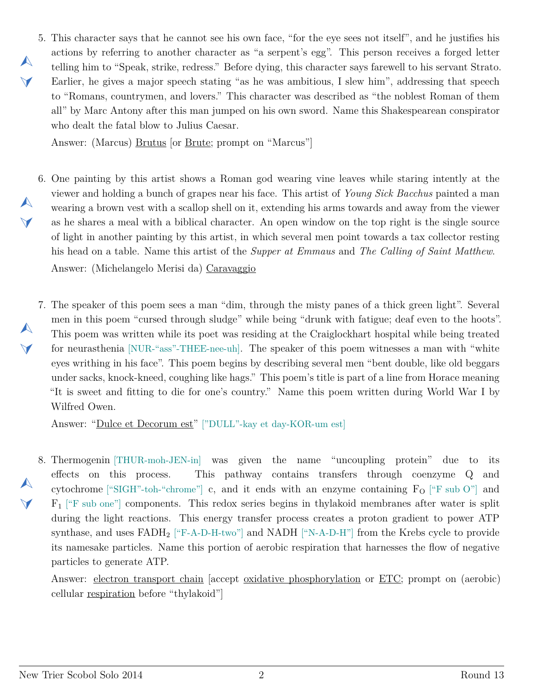<span id="page-1-0"></span>5. This character says that he cannot see his own face, "for the eye sees not itself", and he justifies his actions by referring to another character as "a serpent's egg". This person receives a forged letter telling him to "Speak, strike, redress." Before dying, this character says farewell to his servant Strato. Earlier, he gives a major speech stating "as he was ambitious, I slew him", addressing that speech to "Romans, countrymen, and lovers." This character was described as "the noblest Roman of them all" by Marc Antony after this man jumped on his own sword. Name this Shakespearean conspirator who dealt the fatal blow to Julius Caesar.

Answer: (Marcus) Brutus [or Brute; prompt on "Marcus"]

 $\blacktriangle$ 

 $\blacktriangledown$ 

 $\blacktriangle$ 

 $\vee$ 

 $\blacktriangle$ 

 $\blacktriangleleft$ 

 $\blacktriangle$ 

 $\blacktriangleleft$ 

- <span id="page-1-1"></span>6. One painting by this artist shows a Roman god wearing vine leaves while staring intently at the viewer and holding a bunch of grapes near his face. This artist of *Young Sick Bacchus* painted a man wearing a brown vest with a scallop shell on it, extending his arms towards and away from the viewer as he shares a meal with a biblical character. An open window on the top right is the single source of light in another painting by this artist, in which several men point towards a tax collector resting his head on a table. Name this artist of the *Supper at Emmaus* and *The Calling of Saint Matthew*. Answer: (Michelangelo Merisi da) Caravaggio
- <span id="page-1-2"></span>7. The speaker of this poem sees a man "dim, through the misty panes of a thick green light". Several men in this poem "cursed through sludge" while being "drunk with fatigue; deaf even to the hoots". This poem was written while its poet was residing at the Craiglockhart hospital while being treated for neurasthenia [NUR-"ass"-THEE-nee-uh]. The speaker of this poem witnesses a man with "white eyes writhing in his face". This poem begins by describing several men "bent double, like old beggars under sacks, knock-kneed, coughing like hags." This poem's title is part of a line from Horace meaning "It is sweet and fitting to die for one's country." Name this poem written during World War I by Wilfred Owen.

Answer: "Dulce et Decorum est" ["DULL"-kay et day-KOR-um est]

<span id="page-1-3"></span>8. Thermogenin [THUR-moh-JEN-in] was given the name "uncoupling protein" due to its effects on this process. This pathway contains transfers through coenzyme Q and cytochrome ["SIGH"-toh-"chrome"] c, and it ends with an enzyme containing  $F_{\rm O}$  ["F sub O"] and  $F_1$  ["F sub one"] components. This redox series begins in thylakoid membranes after water is split during the light reactions. This energy transfer process creates a proton gradient to power ATP synthase, and uses  $FADH_2$  ["F-A-D-H-two"] and NADH ["N-A-D-H"] from the Krebs cycle to provide its namesake particles. Name this portion of aerobic respiration that harnesses the flow of negative particles to generate ATP.

Answer: electron transport chain [accept oxidative phosphorylation or ETC; prompt on (aerobic) cellular respiration before "thylakoid"]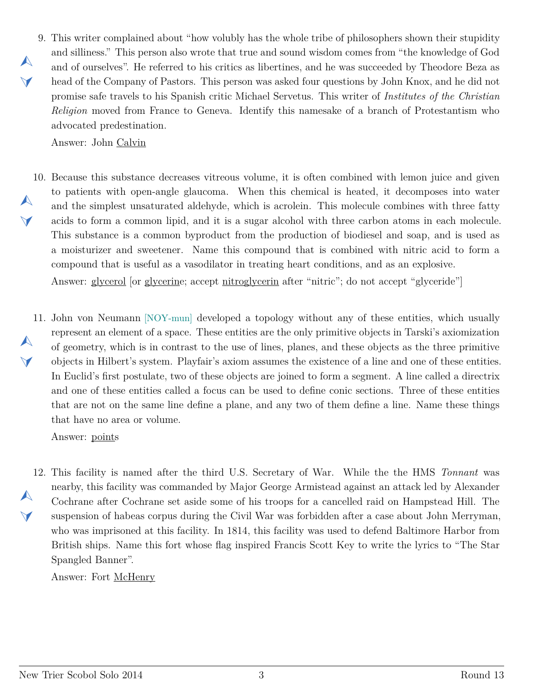<span id="page-2-0"></span>9. This writer complained about "how volubly has the whole tribe of philosophers shown their stupidity  $\blacktriangle$  $\blacktriangleleft$ and silliness." This person also wrote that true and sound wisdom comes from "the knowledge of God and of ourselves". He referred to his critics as libertines, and he was succeeded by Theodore Beza as head of the Company of Pastors. This person was asked four questions by John Knox, and he did not promise safe travels to his Spanish critic Michael Servetus. This writer of *Institutes of the Christian Religion* moved from France to Geneva. Identify this namesake of a branch of Protestantism who advocated predestination.

Answer: John Calvin

<span id="page-2-1"></span>10. Because this substance decreases vitreous volume, it is often combined with lemon juice and given  $\blacktriangle$  $\blacktriangledown$ to patients with open-angle glaucoma. When this chemical is heated, it decomposes into water and the simplest unsaturated aldehyde, which is acrolein. This molecule combines with three fatty acids to form a common lipid, and it is a sugar alcohol with three carbon atoms in each molecule. This substance is a common byproduct from the production of biodiesel and soap, and is used as a moisturizer and sweetener. Name this compound that is combined with nitric acid to form a compound that is useful as a vasodilator in treating heart conditions, and as an explosive.

Answer: glycerol [or glycerine; accept nitroglycerin after "nitric"; do not accept "glyceride"]

<span id="page-2-2"></span>11. John von Neumann [NOY-mun] developed a topology without any of these entities, which usually  $\blacktriangle$  $\blacktriangleleft$ represent an element of a space. These entities are the only primitive objects in Tarski's axiomization of geometry, which is in contrast to the use of lines, planes, and these objects as the three primitive objects in Hilbert's system. Playfair's axiom assumes the existence of a line and one of these entities. In Euclid's first postulate, two of these objects are joined to form a segment. A line called a directrix and one of these entities called a focus can be used to define conic sections. Three of these entities that are not on the same line define a plane, and any two of them define a line. Name these things that have no area or volume.

Answer: points

<span id="page-2-3"></span>12. This facility is named after the third U.S. Secretary of War. While the the HMS *Tonnant* was  $\blacktriangle$  $\blacktriangleleft$ nearby, this facility was commanded by Major George Armistead against an attack led by Alexander Cochrane after Cochrane set aside some of his troops for a cancelled raid on Hampstead Hill. The suspension of habeas corpus during the Civil War was forbidden after a case about John Merryman, who was imprisoned at this facility. In 1814, this facility was used to defend Baltimore Harbor from British ships. Name this fort whose flag inspired Francis Scott Key to write the lyrics to "The Star Spangled Banner".

Answer: Fort McHenry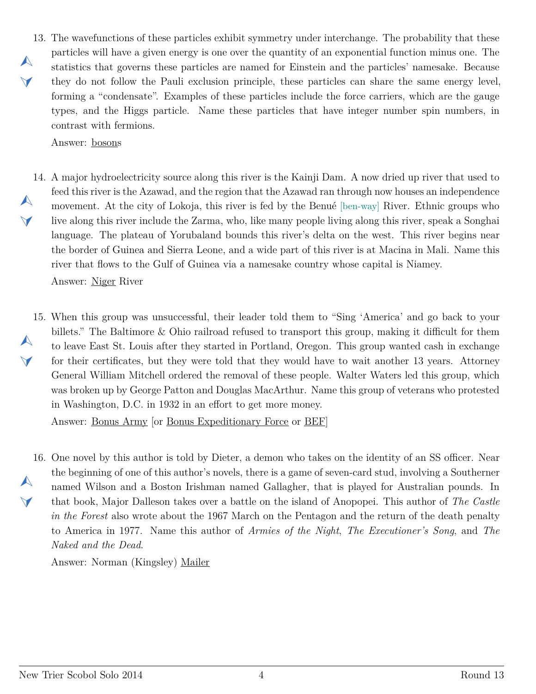<span id="page-3-0"></span>13. The wavefunctions of these particles exhibit symmetry under interchange. The probability that these  $\blacktriangle$  $\blacktriangleleft$ particles will have a given energy is one over the quantity of an exponential function minus one. The statistics that governs these particles are named for Einstein and the particles' namesake. Because they do not follow the Pauli exclusion principle, these particles can share the same energy level, forming a "condensate". Examples of these particles include the force carriers, which are the gauge types, and the Higgs particle. Name these particles that have integer number spin numbers, in contrast with fermions.

Answer: bosons

<span id="page-3-1"></span>14. A major hydroelectricity source along this river is the Kainji Dam. A now dried up river that used to  $\blacktriangle$  $\blacktriangleleft$ feed this river is the Azawad, and the region that the Azawad ran through now houses an independence movement. At the city of Lokoja, this river is fed by the Benué [ben-way] River. Ethnic groups who live along this river include the Zarma, who, like many people living along this river, speak a Songhai language. The plateau of Yorubaland bounds this river's delta on the west. This river begins near the border of Guinea and Sierra Leone, and a wide part of this river is at Macina in Mali. Name this river that flows to the Gulf of Guinea via a namesake country whose capital is Niamey.

Answer: Niger River

<span id="page-3-2"></span>15. When this group was unsuccessful, their leader told them to "Sing 'America' and go back to your  $\blacktriangle$  $\blacktriangledown$ billets." The Baltimore & Ohio railroad refused to transport this group, making it difficult for them to leave East St. Louis after they started in Portland, Oregon. This group wanted cash in exchange for their certificates, but they were told that they would have to wait another 13 years. Attorney General William Mitchell ordered the removal of these people. Walter Waters led this group, which was broken up by George Patton and Douglas MacArthur. Name this group of veterans who protested in Washington, D.C. in 1932 in an effort to get more money.

Answer: Bonus Army [or Bonus Expeditionary Force or BEF]

<span id="page-3-3"></span>16. One novel by this author is told by Dieter, a demon who takes on the identity of an SS officer. Near  $\blacktriangle$  $\blacktriangledown$ the beginning of one of this author's novels, there is a game of seven-card stud, involving a Southerner named Wilson and a Boston Irishman named Gallagher, that is played for Australian pounds. In that book, Major Dalleson takes over a battle on the island of Anopopei. This author of *The Castle in the Forest* also wrote about the 1967 March on the Pentagon and the return of the death penalty to America in 1977. Name this author of *Armies of the Night*, *The Executioner's Song*, and *The Naked and the Dead*.

Answer: Norman (Kingsley) Mailer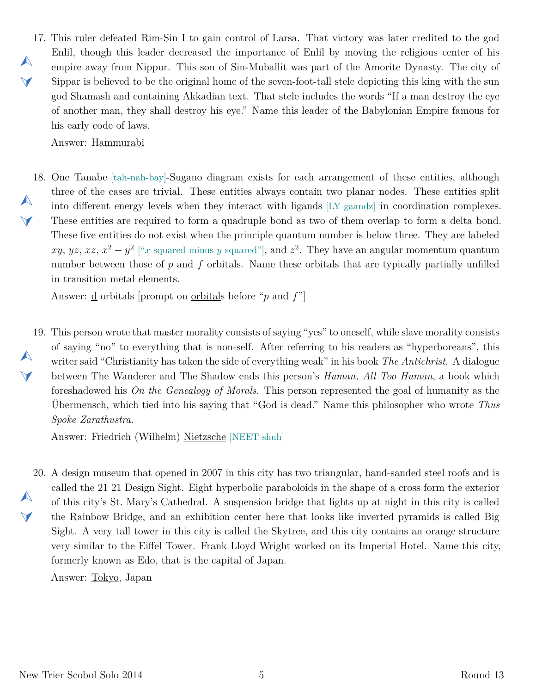<span id="page-4-0"></span>17. This ruler defeated Rim-Sin I to gain control of Larsa. That victory was later credited to the god  $\blacktriangle$  $\blacktriangleleft$ Enlil, though this leader decreased the importance of Enlil by moving the religious center of his empire away from Nippur. This son of Sin-Muballit was part of the Amorite Dynasty. The city of Sippar is believed to be the original home of the seven-foot-tall stele depicting this king with the sun god Shamash and containing Akkadian text. That stele includes the words "If a man destroy the eye of another man, they shall destroy his eye." Name this leader of the Babylonian Empire famous for his early code of laws.

Answer: Hammurabi

<span id="page-4-1"></span>18. One Tanabe [tah-nah-bay]-Sugano diagram exists for each arrangement of these entities, although  $\blacktriangle$  $\blacktriangleleft$ three of the cases are trivial. These entities always contain two planar nodes. These entities split into different energy levels when they interact with ligands [LY-gaandz] in coordination complexes. These entities are required to form a quadruple bond as two of them overlap to form a delta bond. These five entities do not exist when the principle quantum number is below three. They are labeled *xy*, *yz*, *xz*,  $x^2 - y^2$  ["*x* squared minus *y* squared"], and  $z^2$ . They have an angular momentum quantum number between those of *p* and *f* orbitals. Name these orbitals that are typically partially unfilled in transition metal elements.

Answer: d orbitals [prompt on orbitals before "*p* and *f*"]

<span id="page-4-2"></span>19. This person wrote that master morality consists of saying "yes" to oneself, while slave morality consists  $\blacktriangle$  $\blacktriangledown$ of saying "no" to everything that is non-self. After referring to his readers as "hyperboreans", this writer said "Christianity has taken the side of everything weak" in his book *The Antichrist*. A dialogue between The Wanderer and The Shadow ends this person's *Human, All Too Human*, a book which foreshadowed his *On the Genealogy of Morals*. This person represented the goal of humanity as the Übermensch, which tied into his saying that "God is dead." Name this philosopher who wrote *Thus Spoke Zarathustra*.

Answer: Friedrich (Wilhelm) Nietzsche [NEET-shuh]

<span id="page-4-3"></span>20. A design museum that opened in 2007 in this city has two triangular, hand-sanded steel roofs and is  $\blacktriangle$  $\vee$ called the 21 21 Design Sight. Eight hyperbolic paraboloids in the shape of a cross form the exterior of this city's St. Mary's Cathedral. A suspension bridge that lights up at night in this city is called the Rainbow Bridge, and an exhibition center here that looks like inverted pyramids is called Big Sight. A very tall tower in this city is called the Skytree, and this city contains an orange structure very similar to the Eiffel Tower. Frank Lloyd Wright worked on its Imperial Hotel. Name this city, formerly known as Edo, that is the capital of Japan.

Answer: Tokyo, Japan